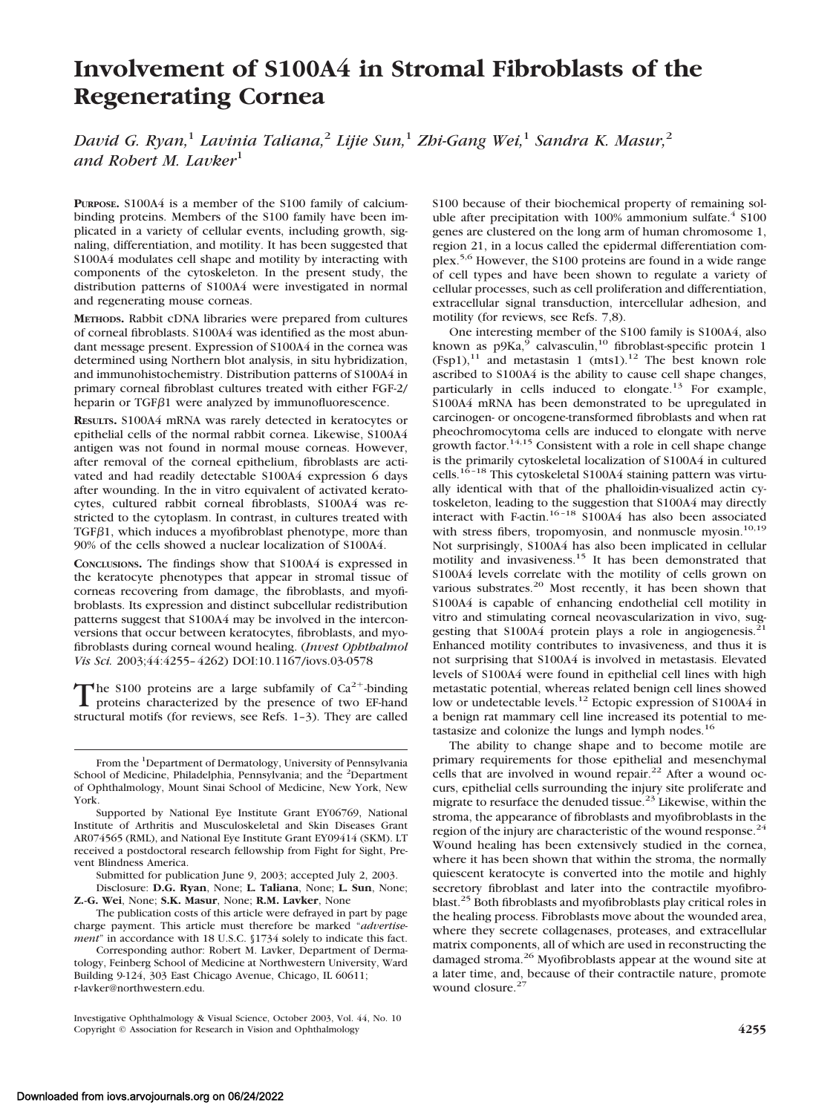# **Involvement of S100A4 in Stromal Fibroblasts of the Regenerating Cornea**

*David G. Ryan,*<sup>1</sup> *Lavinia Taliana,*<sup>2</sup> *Lijie Sun,*<sup>1</sup> *Zhi-Gang Wei,*<sup>1</sup> *Sandra K. Masur,*<sup>2</sup> and Robert M. Lavker<sup>1</sup>

**PURPOSE.** S100A4 is a member of the S100 family of calciumbinding proteins. Members of the S100 family have been implicated in a variety of cellular events, including growth, signaling, differentiation, and motility. It has been suggested that S100A4 modulates cell shape and motility by interacting with components of the cytoskeleton. In the present study, the distribution patterns of S100A4 were investigated in normal and regenerating mouse corneas.

**METHODS.** Rabbit cDNA libraries were prepared from cultures of corneal fibroblasts. S100A4 was identified as the most abundant message present. Expression of S100A4 in the cornea was determined using Northern blot analysis, in situ hybridization, and immunohistochemistry. Distribution patterns of S100A4 in primary corneal fibroblast cultures treated with either FGF-2/ heparin or TGF $\beta$ 1 were analyzed by immunofluorescence.

**RESULTS.** S100A4 mRNA was rarely detected in keratocytes or epithelial cells of the normal rabbit cornea. Likewise, S100A4 antigen was not found in normal mouse corneas. However, after removal of the corneal epithelium, fibroblasts are activated and had readily detectable S100A4 expression 6 days after wounding. In the in vitro equivalent of activated keratocytes, cultured rabbit corneal fibroblasts, S100A4 was restricted to the cytoplasm. In contrast, in cultures treated with  $TGF\beta1$ , which induces a myofibroblast phenotype, more than 90% of the cells showed a nuclear localization of S100A4.

**CONCLUSIONS.** The findings show that S100A4 is expressed in the keratocyte phenotypes that appear in stromal tissue of corneas recovering from damage, the fibroblasts, and myofibroblasts. Its expression and distinct subcellular redistribution patterns suggest that S100A4 may be involved in the interconversions that occur between keratocytes, fibroblasts, and myofibroblasts during corneal wound healing. (*Invest Ophthalmol Vis Sci.* 2003;44:4255–4262) DOI:10.1167/iovs.03-0578

The S100 proteins are a large subfamily of  $Ca^{2+}$ -binding<br>proteins characterized by the presence of two EF-hand structural motifs (for reviews, see Refs. 1–3). They are called

Supported by National Eye Institute Grant EY06769, National Institute of Arthritis and Musculoskeletal and Skin Diseases Grant AR074565 (RML), and National Eye Institute Grant EY09414 (SKM). LT received a postdoctoral research fellowship from Fight for Sight, Prevent Blindness America.

Submitted for publication June 9, 2003; accepted July 2, 2003. Disclosure: **D.G. Ryan**, None; **L. Taliana**, None; **L. Sun**, None;

**Z.-G. Wei**, None; **S.K. Masur**, None; **R.M. Lavker**, None The publication costs of this article were defrayed in part by page

charge payment. This article must therefore be marked "*advertisement*" in accordance with 18 U.S.C. §1734 solely to indicate this fact.

Corresponding author: Robert M. Lavker, Department of Dermatology, Feinberg School of Medicine at Northwestern University, Ward Building 9-124, 303 East Chicago Avenue, Chicago, IL 60611; r-lavker@northwestern.edu.

S100 because of their biochemical property of remaining soluble after precipitation with  $100\%$  ammonium sulfate.<sup>4</sup> S100 genes are clustered on the long arm of human chromosome 1, region 21, in a locus called the epidermal differentiation complex.<sup>5,6</sup> However, the S100 proteins are found in a wide range of cell types and have been shown to regulate a variety of cellular processes, such as cell proliferation and differentiation, extracellular signal transduction, intercellular adhesion, and motility (for reviews, see Refs. 7,8).

One interesting member of the S100 family is S100A4, also known as  $p9Ka<sub>2</sub><sup>5</sup>$  calvasculin,<sup>10</sup> fibroblast-specific protein 1  $(Fsp1)$ ,<sup>11</sup> and metastasin 1 (mts1).<sup>12</sup> The best known role ascribed to S100A4 is the ability to cause cell shape changes, particularly in cells induced to elongate.<sup>13</sup> For example, S100A4 mRNA has been demonstrated to be upregulated in carcinogen- or oncogene-transformed fibroblasts and when rat pheochromocytoma cells are induced to elongate with nerve growth factor.<sup>14,15</sup> Consistent with a role in cell shape change is the primarily cytoskeletal localization of S100A4 in cultured cells.<sup>16–18</sup> This cytoskeletal S100A4 staining pattern was virtually identical with that of the phalloidin-visualized actin cytoskeleton, leading to the suggestion that S100A4 may directly interact with F-actin.<sup>16–18</sup> S100A4 has also been associated with stress fibers, tropomyosin, and nonmuscle myosin.<sup>10,19</sup> Not surprisingly, S100A4 has also been implicated in cellular motility and invasiveness.15 It has been demonstrated that S100A4 levels correlate with the motility of cells grown on various substrates.<sup>20</sup> Most recently, it has been shown that S100A4 is capable of enhancing endothelial cell motility in vitro and stimulating corneal neovascularization in vivo, suggesting that  $$100A4$  protein plays a role in angiogenesis.<sup>21</sup> Enhanced motility contributes to invasiveness, and thus it is not surprising that S100A4 is involved in metastasis. Elevated levels of S100A4 were found in epithelial cell lines with high metastatic potential, whereas related benign cell lines showed low or undetectable levels.<sup>12</sup> Ectopic expression of S100A4 in a benign rat mammary cell line increased its potential to metastasize and colonize the lungs and lymph nodes. $16$ 

The ability to change shape and to become motile are primary requirements for those epithelial and mesenchymal cells that are involved in wound repair.<sup>22</sup> After a wound occurs, epithelial cells surrounding the injury site proliferate and migrate to resurface the denuded tissue.<sup>23</sup> Likewise, within the stroma, the appearance of fibroblasts and myofibroblasts in the region of the injury are characteristic of the wound response. $^{24}$ Wound healing has been extensively studied in the cornea, where it has been shown that within the stroma, the normally quiescent keratocyte is converted into the motile and highly secretory fibroblast and later into the contractile myofibroblast.25 Both fibroblasts and myofibroblasts play critical roles in the healing process. Fibroblasts move about the wounded area, where they secrete collagenases, proteases, and extracellular matrix components, all of which are used in reconstructing the damaged stroma.<sup>26</sup> Myofibroblasts appear at the wound site at a later time, and, because of their contractile nature, promote wound closure.<sup>27</sup>

From the <sup>1</sup>Department of Dermatology, University of Pennsylvania School of Medicine, Philadelphia, Pennsylvania; and the <sup>2</sup>Department of Ophthalmology, Mount Sinai School of Medicine, New York, New York.

Investigative Ophthalmology & Visual Science, October 2003, Vol. 44, No. 10 Copyright © Association for Research in Vision and Ophthalmology **4255**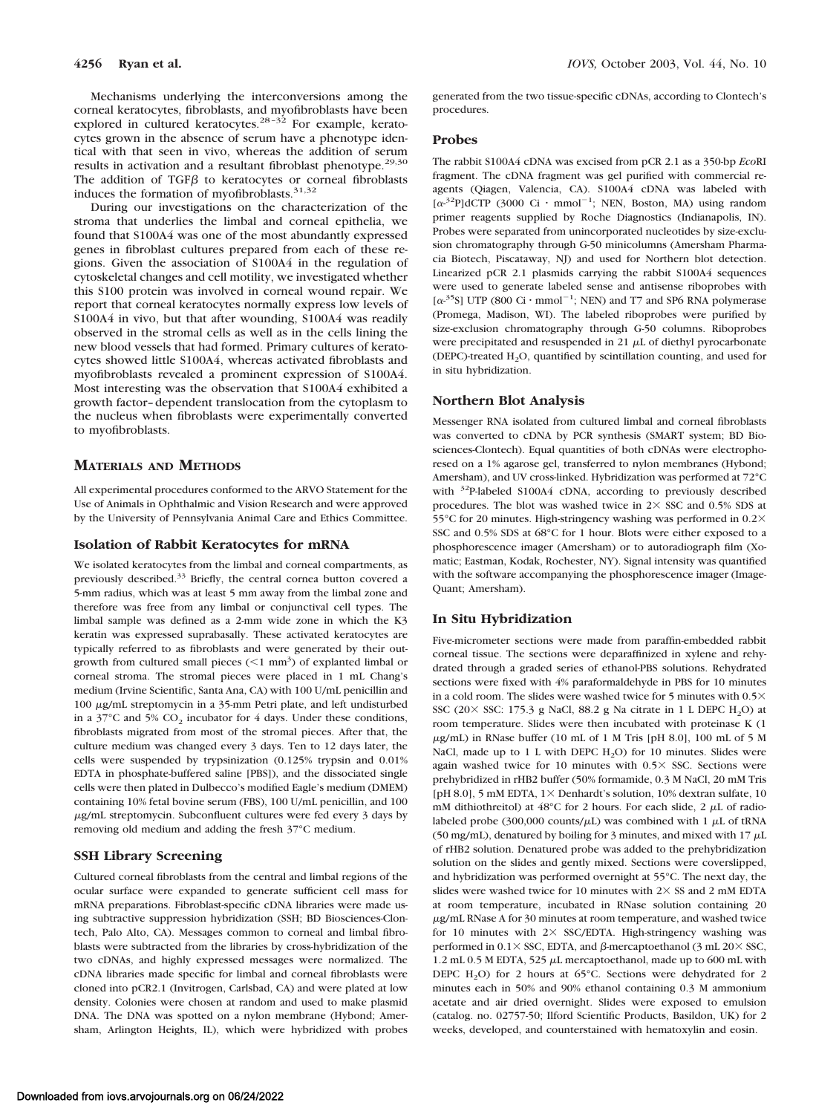Mechanisms underlying the interconversions among the corneal keratocytes, fibroblasts, and myofibroblasts have been explored in cultured keratocytes.<sup>28-32</sup> For example, keratocytes grown in the absence of serum have a phenotype identical with that seen in vivo, whereas the addition of serum results in activation and a resultant fibroblast phenotype.<sup>29,30</sup> The addition of TGF $\beta$  to keratocytes or corneal fibroblasts induces the formation of myofibroblasts.31,32

During our investigations on the characterization of the stroma that underlies the limbal and corneal epithelia, we found that S100A4 was one of the most abundantly expressed genes in fibroblast cultures prepared from each of these regions. Given the association of S100A4 in the regulation of cytoskeletal changes and cell motility, we investigated whether this S100 protein was involved in corneal wound repair. We report that corneal keratocytes normally express low levels of S100A4 in vivo, but that after wounding, S100A4 was readily observed in the stromal cells as well as in the cells lining the new blood vessels that had formed. Primary cultures of keratocytes showed little S100A4, whereas activated fibroblasts and myofibroblasts revealed a prominent expression of S100A4. Most interesting was the observation that S100A4 exhibited a growth factor–dependent translocation from the cytoplasm to the nucleus when fibroblasts were experimentally converted to myofibroblasts.

# **MATERIALS AND METHODS**

All experimental procedures conformed to the ARVO Statement for the Use of Animals in Ophthalmic and Vision Research and were approved by the University of Pennsylvania Animal Care and Ethics Committee.

#### **Isolation of Rabbit Keratocytes for mRNA**

We isolated keratocytes from the limbal and corneal compartments, as previously described.33 Briefly, the central cornea button covered a 5-mm radius, which was at least 5 mm away from the limbal zone and therefore was free from any limbal or conjunctival cell types. The limbal sample was defined as a 2-mm wide zone in which the K3 keratin was expressed suprabasally. These activated keratocytes are typically referred to as fibroblasts and were generated by their outgrowth from cultured small pieces  $(<1$  mm<sup>3</sup>) of explanted limbal or corneal stroma. The stromal pieces were placed in 1 mL Chang's medium (Irvine Scientific, Santa Ana, CA) with 100 U/mL penicillin and 100 µg/mL streptomycin in a 35-mm Petri plate, and left undisturbed in a  $37^{\circ}$ C and 5% CO<sub>2</sub> incubator for 4 days. Under these conditions, fibroblasts migrated from most of the stromal pieces. After that, the culture medium was changed every 3 days. Ten to 12 days later, the cells were suspended by trypsinization (0.125% trypsin and 0.01% EDTA in phosphate-buffered saline [PBS]), and the dissociated single cells were then plated in Dulbecco's modified Eagle's medium (DMEM) containing 10% fetal bovine serum (FBS), 100 U/mL penicillin, and 100  $\mu$ g/mL streptomycin. Subconfluent cultures were fed every 3 days by removing old medium and adding the fresh 37°C medium.

#### **SSH Library Screening**

Cultured corneal fibroblasts from the central and limbal regions of the ocular surface were expanded to generate sufficient cell mass for mRNA preparations. Fibroblast-specific cDNA libraries were made using subtractive suppression hybridization (SSH; BD Biosciences-Clontech, Palo Alto, CA). Messages common to corneal and limbal fibroblasts were subtracted from the libraries by cross-hybridization of the two cDNAs, and highly expressed messages were normalized. The cDNA libraries made specific for limbal and corneal fibroblasts were cloned into pCR2.1 (Invitrogen, Carlsbad, CA) and were plated at low density. Colonies were chosen at random and used to make plasmid DNA. The DNA was spotted on a nylon membrane (Hybond; Amersham, Arlington Heights, IL), which were hybridized with probes generated from the two tissue-specific cDNAs, according to Clontech's procedures.

## **Probes**

The rabbit S100A4 cDNA was excised from pCR 2.1 as a 350-bp *Eco*RI fragment. The cDNA fragment was gel purified with commercial reagents (Qiagen, Valencia, CA). S100A4 cDNA was labeled with  $[\alpha^{32}P]$ dCTP (3000 Ci · mmol<sup>-1</sup>; NEN, Boston, MA) using random primer reagents supplied by Roche Diagnostics (Indianapolis, IN). Probes were separated from unincorporated nucleotides by size-exclusion chromatography through G-50 minicolumns (Amersham Pharmacia Biotech, Piscataway, NJ) and used for Northern blot detection. Linearized pCR 2.1 plasmids carrying the rabbit S100A4 sequences were used to generate labeled sense and antisense riboprobes with  $[\alpha^{35}S]$  UTP (800 Gi · mmol<sup>-1</sup>; NEN) and T7 and SP6 RNA polymerase (Promega, Madison, WI). The labeled riboprobes were purified by size-exclusion chromatography through G-50 columns. Riboprobes were precipitated and resuspended in 21  $\mu$ L of diethyl pyrocarbonate (DEPC)-treated  $H_2O$ , quantified by scintillation counting, and used for in situ hybridization.

#### **Northern Blot Analysis**

Messenger RNA isolated from cultured limbal and corneal fibroblasts was converted to cDNA by PCR synthesis (SMART system; BD Biosciences-Clontech). Equal quantities of both cDNAs were electrophoresed on a 1% agarose gel, transferred to nylon membranes (Hybond; Amersham), and UV cross-linked. Hybridization was performed at 72°C with <sup>32</sup>P-labeled S100A4 cDNA, according to previously described procedures. The blot was washed twice in  $2 \times$  SSC and 0.5% SDS at 55°C for 20 minutes. High-stringency washing was performed in 0.2 SSC and 0.5% SDS at 68°C for 1 hour. Blots were either exposed to a phosphorescence imager (Amersham) or to autoradiograph film (Xomatic; Eastman, Kodak, Rochester, NY). Signal intensity was quantified with the software accompanying the phosphorescence imager (Image-Quant; Amersham).

#### **In Situ Hybridization**

Five-micrometer sections were made from paraffin-embedded rabbit corneal tissue. The sections were deparaffinized in xylene and rehydrated through a graded series of ethanol-PBS solutions. Rehydrated sections were fixed with 4% paraformaldehyde in PBS for 10 minutes in a cold room. The slides were washed twice for 5 minutes with  $0.5\times$ SSC (20 $\times$  SSC: 175.3 g NaCl, 88.2 g Na citrate in 1 L DEPC H<sub>2</sub>O) at room temperature. Slides were then incubated with proteinase K (1  $\mu$ g/mL) in RNase buffer (10 mL of 1 M Tris [pH 8.0], 100 mL of 5 M NaCl, made up to 1 L with DEPC  $H_2O$ ) for 10 minutes. Slides were again washed twice for 10 minutes with  $0.5 \times$  SSC. Sections were prehybridized in rHB2 buffer (50% formamide, 0.3 M NaCl, 20 mM Tris [pH 8.0], 5 mM EDTA,  $1\times$  Denhardt's solution, 10% dextran sulfate, 10 mM dithiothreitol) at  $48^{\circ}$ C for 2 hours. For each slide, 2  $\mu$ L of radiolabeled probe  $(300,000 \text{ counts}/\mu L)$  was combined with 1  $\mu L$  of tRNA (50 mg/mL), denatured by boiling for 3 minutes, and mixed with 17  $\mu$ L of rHB2 solution. Denatured probe was added to the prehybridization solution on the slides and gently mixed. Sections were coverslipped, and hybridization was performed overnight at 55°C. The next day, the slides were washed twice for 10 minutes with  $2 \times$  SS and 2 mM EDTA at room temperature, incubated in RNase solution containing 20  $\mu$ g/mL RNase A for 30 minutes at room temperature, and washed twice for 10 minutes with  $2 \times$  SSC/EDTA. High-stringency washing was performed in  $0.1 \times$  SSC, EDTA, and  $\beta$ -mercaptoethanol (3 mL 20 $\times$  SSC, 1.2 mL 0.5 M EDTA, 525  $\mu$ L mercaptoethanol, made up to 600 mL with DEPC H<sub>2</sub>O) for 2 hours at  $65^{\circ}$ C. Sections were dehydrated for 2 minutes each in 50% and 90% ethanol containing 0.3 M ammonium acetate and air dried overnight. Slides were exposed to emulsion (catalog. no. 02757-50; Ilford Scientific Products, Basildon, UK) for 2 weeks, developed, and counterstained with hematoxylin and eosin.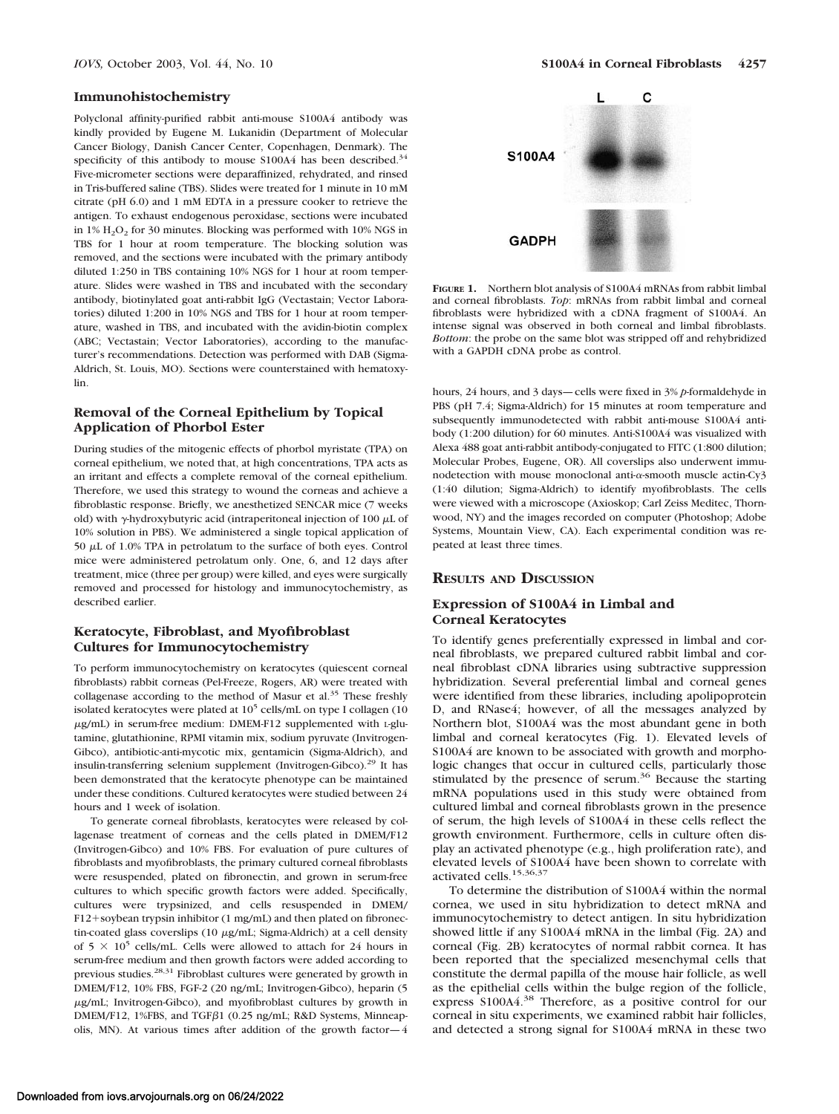## **Immunohistochemistry**

Polyclonal affinity-purified rabbit anti-mouse S100A4 antibody was kindly provided by Eugene M. Lukanidin (Department of Molecular Cancer Biology, Danish Cancer Center, Copenhagen, Denmark). The specificity of this antibody to mouse S100A4 has been described.<sup>34</sup> Five-micrometer sections were deparaffinized, rehydrated, and rinsed in Tris-buffered saline (TBS). Slides were treated for 1 minute in 10 mM citrate (pH 6.0) and 1 mM EDTA in a pressure cooker to retrieve the antigen. To exhaust endogenous peroxidase, sections were incubated in  $1\%$  H<sub>2</sub>O<sub>2</sub> for 30 minutes. Blocking was performed with  $10\%$  NGS in TBS for 1 hour at room temperature. The blocking solution was removed, and the sections were incubated with the primary antibody diluted 1:250 in TBS containing 10% NGS for 1 hour at room temperature. Slides were washed in TBS and incubated with the secondary antibody, biotinylated goat anti-rabbit IgG (Vectastain; Vector Laboratories) diluted 1:200 in 10% NGS and TBS for 1 hour at room temperature, washed in TBS, and incubated with the avidin-biotin complex (ABC; Vectastain; Vector Laboratories), according to the manufacturer's recommendations. Detection was performed with DAB (Sigma-Aldrich, St. Louis, MO). Sections were counterstained with hematoxylin.

## **Removal of the Corneal Epithelium by Topical Application of Phorbol Ester**

During studies of the mitogenic effects of phorbol myristate (TPA) on corneal epithelium, we noted that, at high concentrations, TPA acts as an irritant and effects a complete removal of the corneal epithelium. Therefore, we used this strategy to wound the corneas and achieve a fibroblastic response. Briefly, we anesthetized SENCAR mice (7 weeks old) with  $\gamma$ -hydroxybutyric acid (intraperitoneal injection of 100  $\mu$ L of 10% solution in PBS). We administered a single topical application of  $50 \mu L$  of 1.0% TPA in petrolatum to the surface of both eyes. Control mice were administered petrolatum only. One, 6, and 12 days after treatment, mice (three per group) were killed, and eyes were surgically removed and processed for histology and immunocytochemistry, as described earlier.

## **Keratocyte, Fibroblast, and Myofibroblast Cultures for Immunocytochemistry**

To perform immunocytochemistry on keratocytes (quiescent corneal fibroblasts) rabbit corneas (Pel-Freeze, Rogers, AR) were treated with collagenase according to the method of Masur et al.<sup>35</sup> These freshly isolated keratocytes were plated at 10<sup>5</sup> cells/mL on type I collagen (10  $\mu$ g/mL) in serum-free medium: DMEM-F12 supplemented with L-glutamine, glutathionine, RPMI vitamin mix, sodium pyruvate (Invitrogen-Gibco), antibiotic-anti-mycotic mix, gentamicin (Sigma-Aldrich), and insulin-transferring selenium supplement (Invitrogen-Gibco).29 It has been demonstrated that the keratocyte phenotype can be maintained under these conditions. Cultured keratocytes were studied between 24 hours and 1 week of isolation.

To generate corneal fibroblasts, keratocytes were released by collagenase treatment of corneas and the cells plated in DMEM/F12 (Invitrogen-Gibco) and 10% FBS. For evaluation of pure cultures of fibroblasts and myofibroblasts, the primary cultured corneal fibroblasts were resuspended, plated on fibronectin, and grown in serum-free cultures to which specific growth factors were added. Specifically, cultures were trypsinized, and cells resuspended in DMEM/ F12+soybean trypsin inhibitor (1 mg/mL) and then plated on fibronectin-coated glass coverslips (10 µg/mL; Sigma-Aldrich) at a cell density of  $5 \times 10^5$  cells/mL. Cells were allowed to attach for 24 hours in serum-free medium and then growth factors were added according to previous studies.28,31 Fibroblast cultures were generated by growth in DMEM/F12, 10% FBS, FGF-2 (20 ng/mL; Invitrogen-Gibco), heparin (5  $\mu$ g/mL; Invitrogen-Gibco), and myofibroblast cultures by growth in DMEM/F12, 1%FBS, and TGF $\beta$ 1 (0.25 ng/mL; R&D Systems, Minneapolis, MN). At various times after addition of the growth factor—4



**FIGURE 1.** Northern blot analysis of S100A4 mRNAs from rabbit limbal and corneal fibroblasts. *Top*: mRNAs from rabbit limbal and corneal fibroblasts were hybridized with a cDNA fragment of S100A4. An intense signal was observed in both corneal and limbal fibroblasts. *Bottom*: the probe on the same blot was stripped off and rehybridized with a GAPDH cDNA probe as control.

hours, 24 hours, and 3 days—cells were fixed in 3% *p*-formaldehyde in PBS (pH 7.4; Sigma-Aldrich) for 15 minutes at room temperature and subsequently immunodetected with rabbit anti-mouse S100A4 antibody (1:200 dilution) for 60 minutes. Anti-S100A4 was visualized with Alexa 488 goat anti-rabbit antibody-conjugated to FITC (1:800 dilution; Molecular Probes, Eugene, OR). All coverslips also underwent immunodetection with mouse monoclonal anti- $\alpha$ -smooth muscle actin-Cy3 (1:40 dilution; Sigma-Aldrich) to identify myofibroblasts. The cells were viewed with a microscope (Axioskop; Carl Zeiss Meditec, Thornwood, NY) and the images recorded on computer (Photoshop; Adobe Systems, Mountain View, CA). Each experimental condition was repeated at least three times.

## **RESULTS AND DISCUSSION**

# **Expression of S100A4 in Limbal and Corneal Keratocytes**

To identify genes preferentially expressed in limbal and corneal fibroblasts, we prepared cultured rabbit limbal and corneal fibroblast cDNA libraries using subtractive suppression hybridization. Several preferential limbal and corneal genes were identified from these libraries, including apolipoprotein D, and RNase4; however, of all the messages analyzed by Northern blot, S100A4 was the most abundant gene in both limbal and corneal keratocytes (Fig. 1). Elevated levels of S100A4 are known to be associated with growth and morphologic changes that occur in cultured cells, particularly those stimulated by the presence of serum.<sup>36</sup> Because the starting mRNA populations used in this study were obtained from cultured limbal and corneal fibroblasts grown in the presence of serum, the high levels of S100A4 in these cells reflect the growth environment. Furthermore, cells in culture often display an activated phenotype (e.g., high proliferation rate), and elevated levels of S100A4 have been shown to correlate with activated cells.<sup>15,36,37</sup>

To determine the distribution of S100A4 within the normal cornea, we used in situ hybridization to detect mRNA and immunocytochemistry to detect antigen. In situ hybridization showed little if any S100A4 mRNA in the limbal (Fig. 2A) and corneal (Fig. 2B) keratocytes of normal rabbit cornea. It has been reported that the specialized mesenchymal cells that constitute the dermal papilla of the mouse hair follicle, as well as the epithelial cells within the bulge region of the follicle, express S100A4.<sup>38</sup> Therefore, as a positive control for our corneal in situ experiments, we examined rabbit hair follicles, and detected a strong signal for S100A4 mRNA in these two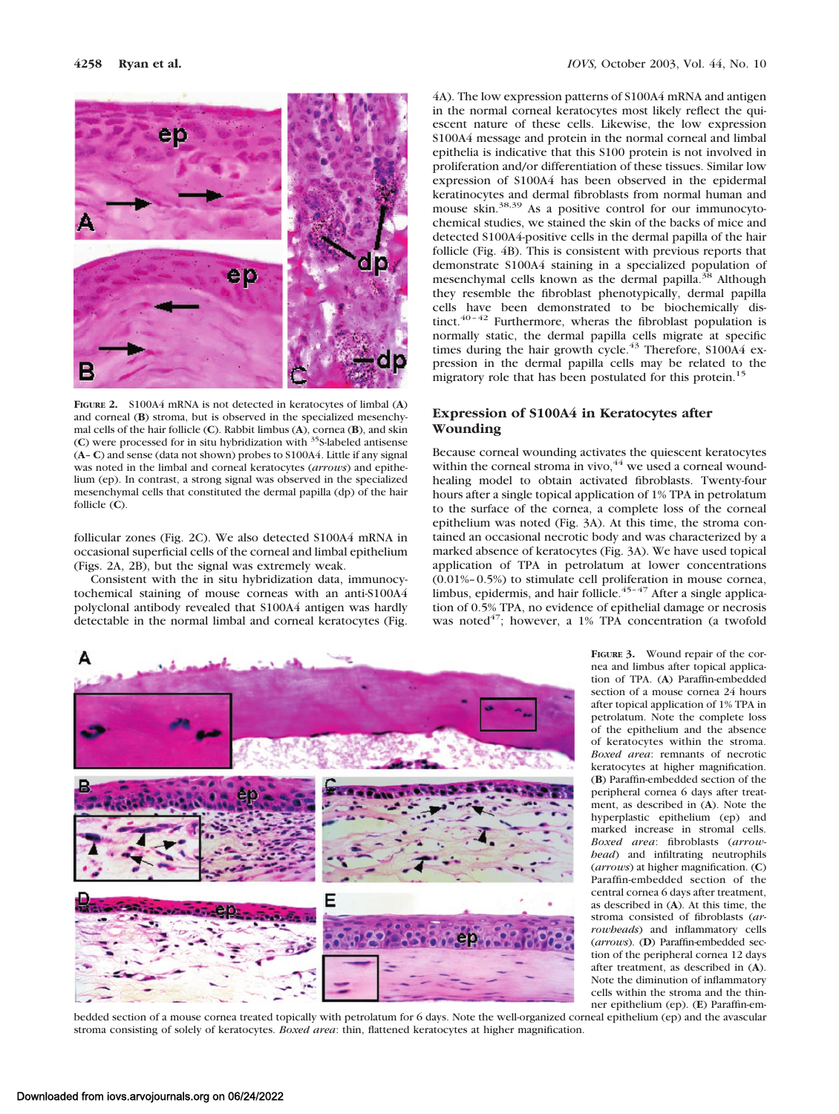

**FIGURE 2.** S100A4 mRNA is not detected in keratocytes of limbal (**A**) and corneal (**B**) stroma, but is observed in the specialized mesenchymal cells of the hair follicle (**C**). Rabbit limbus (**A**), cornea (**B**), and skin (**C**) were processed for in situ hybridization with 35S-labeled antisense (**A**– **C**) and sense (data not shown) probes to S100A4. Little if any signal was noted in the limbal and corneal keratocytes (*arrows*) and epithelium (ep). In contrast, a strong signal was observed in the specialized mesenchymal cells that constituted the dermal papilla (dp) of the hair follicle (**C**).

follicular zones (Fig. 2C). We also detected S100A4 mRNA in occasional superficial cells of the corneal and limbal epithelium (Figs. 2A, 2B), but the signal was extremely weak.

Consistent with the in situ hybridization data, immunocytochemical staining of mouse corneas with an anti-S100A4 polyclonal antibody revealed that S100A4 antigen was hardly detectable in the normal limbal and corneal keratocytes (Fig.

4A). The low expression patterns of S100A4 mRNA and antigen in the normal corneal keratocytes most likely reflect the quiescent nature of these cells. Likewise, the low expression S100A4 message and protein in the normal corneal and limbal epithelia is indicative that this S100 protein is not involved in proliferation and/or differentiation of these tissues. Similar low expression of S100A4 has been observed in the epidermal keratinocytes and dermal fibroblasts from normal human and mouse skin.<sup>38,39</sup> As a positive control for our immunocytochemical studies, we stained the skin of the backs of mice and detected S100A4-positive cells in the dermal papilla of the hair follicle (Fig. 4B). This is consistent with previous reports that demonstrate S100A4 staining in a specialized population of mesenchymal cells known as the dermal papilla.<sup>38</sup> Although they resemble the fibroblast phenotypically, dermal papilla cells have been demonstrated to be biochemically distinct. $40-42$  Furthermore, wheras the fibroblast population is normally static, the dermal papilla cells migrate at specific times during the hair growth cycle.<sup>43</sup> Therefore, S100A4 expression in the dermal papilla cells may be related to the migratory role that has been postulated for this protein.<sup>15</sup>

# **Expression of S100A4 in Keratocytes after Wounding**

Because corneal wounding activates the quiescent keratocytes within the corneal stroma in vivo,  $44$  we used a corneal woundhealing model to obtain activated fibroblasts. Twenty-four hours after a single topical application of 1% TPA in petrolatum to the surface of the cornea, a complete loss of the corneal epithelium was noted (Fig. 3A). At this time, the stroma contained an occasional necrotic body and was characterized by a marked absence of keratocytes (Fig. 3A). We have used topical application of TPA in petrolatum at lower concentrations (0.01%–0.5%) to stimulate cell proliferation in mouse cornea, limbus, epidermis, and hair follicle. $45-47$  After a single application of 0.5% TPA, no evidence of epithelial damage or necrosis was noted<sup>47</sup>; however, a 1% TPA concentration (a twofold



bedded section of a mouse cornea treated topically with petrolatum for 6 days. Note the well-organized corneal epithelium (ep) and the avascular stroma consisting of solely of keratocytes. *Boxed area*: thin, flattened keratocytes at higher magnification.

**FIGURE 3.** Wound repair of the cornea and limbus after topical application of TPA. (**A**) Paraffin-embedded section of a mouse cornea 24 hours after topical application of 1% TPA in petrolatum. Note the complete loss of the epithelium and the absence of keratocytes within the stroma. *Boxed area*: remnants of necrotic keratocytes at higher magnification. (**B**) Paraffin-embedded section of the peripheral cornea 6 days after treatment, as described in (**A**). Note the hyperplastic epithelium (ep) and marked increase in stromal cells. *Boxed area*: fibroblasts (*arrowhead*) and infiltrating neutrophils (*arrows*) at higher magnification. (**C**) Paraffin-embedded section of the central cornea 6 days after treatment, as described in (**A**). At this time, the stroma consisted of fibroblasts (*arrowheads*) and inflammatory cells (*arrows*). (**D**) Paraffin-embedded section of the peripheral cornea 12 days after treatment, as described in (**A**). Note the diminution of inflammatory cells within the stroma and the thinner epithelium (ep). (**E**) Paraffin-em-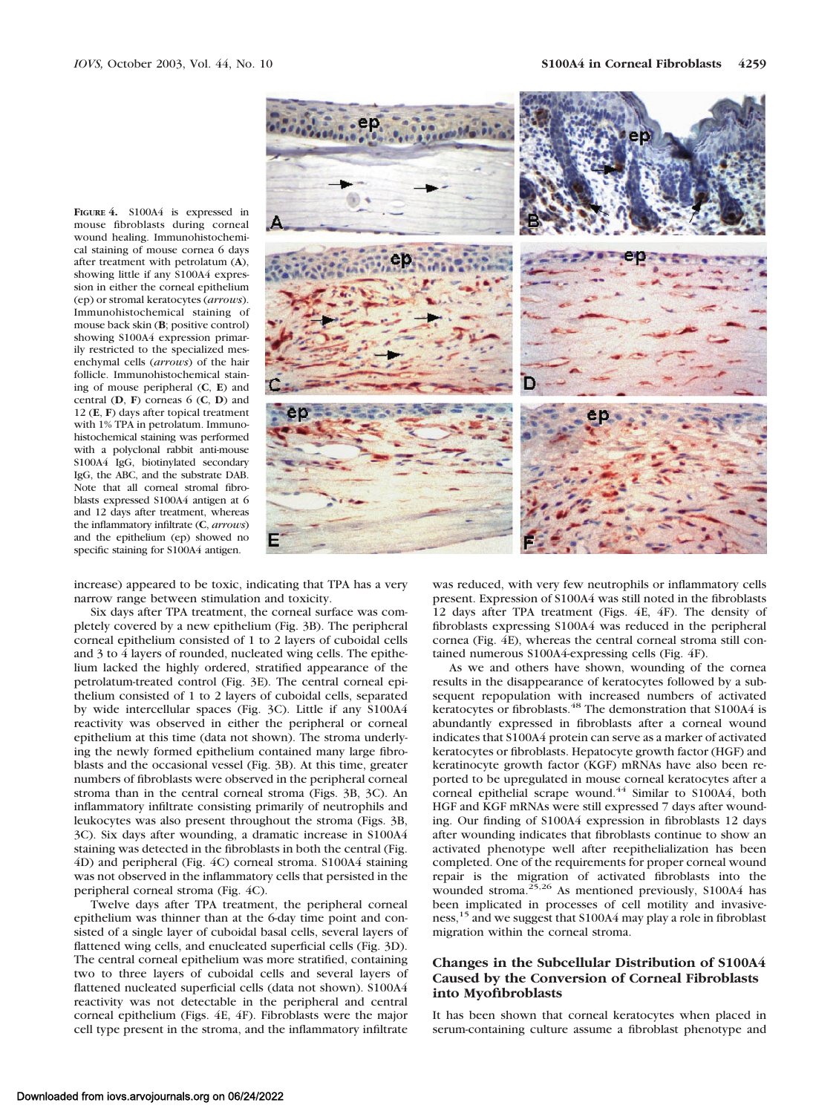**FIGURE 4.** S100A4 is expressed in mouse fibroblasts during corneal wound healing. Immunohistochemical staining of mouse cornea 6 days after treatment with petrolatum (**A**), showing little if any S100A4 expression in either the corneal epithelium (ep) or stromal keratocytes (*arrows*). Immunohistochemical staining of mouse back skin (**B**; positive control) showing S100A4 expression primarily restricted to the specialized mesenchymal cells (*arrows*) of the hair follicle. Immunohistochemical staining of mouse peripheral (**C**, **E**) and central (**D**, **F**) corneas 6 (**C**, **D**) and 12 (**E**, **F**) days after topical treatment with 1% TPA in petrolatum. Immunohistochemical staining was performed with a polyclonal rabbit anti-mouse S100A4 IgG, biotinylated secondary IgG, the ABC, and the substrate DAB. Note that all corneal stromal fibroblasts expressed S100A4 antigen at 6 and 12 days after treatment, whereas the inflammatory infiltrate (**C**, *arrows*) and the epithelium (ep) showed no specific staining for S100A4 antigen.



increase) appeared to be toxic, indicating that TPA has a very narrow range between stimulation and toxicity.

Six days after TPA treatment, the corneal surface was completely covered by a new epithelium (Fig. 3B). The peripheral corneal epithelium consisted of 1 to 2 layers of cuboidal cells and 3 to 4 layers of rounded, nucleated wing cells. The epithelium lacked the highly ordered, stratified appearance of the petrolatum-treated control (Fig. 3E). The central corneal epithelium consisted of 1 to 2 layers of cuboidal cells, separated by wide intercellular spaces (Fig. 3C). Little if any S100A4 reactivity was observed in either the peripheral or corneal epithelium at this time (data not shown). The stroma underlying the newly formed epithelium contained many large fibroblasts and the occasional vessel (Fig. 3B). At this time, greater numbers of fibroblasts were observed in the peripheral corneal stroma than in the central corneal stroma (Figs. 3B, 3C). An inflammatory infiltrate consisting primarily of neutrophils and leukocytes was also present throughout the stroma (Figs. 3B, 3C). Six days after wounding, a dramatic increase in S100A4 staining was detected in the fibroblasts in both the central (Fig. 4D) and peripheral (Fig. 4C) corneal stroma. S100A4 staining was not observed in the inflammatory cells that persisted in the peripheral corneal stroma (Fig. 4C).

Twelve days after TPA treatment, the peripheral corneal epithelium was thinner than at the 6-day time point and consisted of a single layer of cuboidal basal cells, several layers of flattened wing cells, and enucleated superficial cells (Fig. 3D). The central corneal epithelium was more stratified, containing two to three layers of cuboidal cells and several layers of flattened nucleated superficial cells (data not shown). S100A4 reactivity was not detectable in the peripheral and central corneal epithelium (Figs. 4E, 4F). Fibroblasts were the major cell type present in the stroma, and the inflammatory infiltrate

was reduced, with very few neutrophils or inflammatory cells present. Expression of S100A4 was still noted in the fibroblasts 12 days after TPA treatment (Figs. 4E, 4F). The density of fibroblasts expressing S100A4 was reduced in the peripheral cornea (Fig. 4E), whereas the central corneal stroma still contained numerous S100A4-expressing cells (Fig. 4F).

As we and others have shown, wounding of the cornea results in the disappearance of keratocytes followed by a subsequent repopulation with increased numbers of activated keratocytes or fibroblasts.<sup>48</sup> The demonstration that S100A4 is abundantly expressed in fibroblasts after a corneal wound indicates that S100A4 protein can serve as a marker of activated keratocytes or fibroblasts. Hepatocyte growth factor (HGF) and keratinocyte growth factor (KGF) mRNAs have also been reported to be upregulated in mouse corneal keratocytes after a corneal epithelial scrape wound.<sup>44</sup> Similar to S100A4, both HGF and KGF mRNAs were still expressed 7 days after wounding. Our finding of S100A4 expression in fibroblasts 12 days after wounding indicates that fibroblasts continue to show an activated phenotype well after reepithelialization has been completed. One of the requirements for proper corneal wound repair is the migration of activated fibroblasts into the wounded stroma. $^{25,26}$  As mentioned previously, S100A4 has been implicated in processes of cell motility and invasiveness,15 and we suggest that S100A4 may play a role in fibroblast migration within the corneal stroma.

# **Changes in the Subcellular Distribution of S100A4 Caused by the Conversion of Corneal Fibroblasts into Myofibroblasts**

It has been shown that corneal keratocytes when placed in serum-containing culture assume a fibroblast phenotype and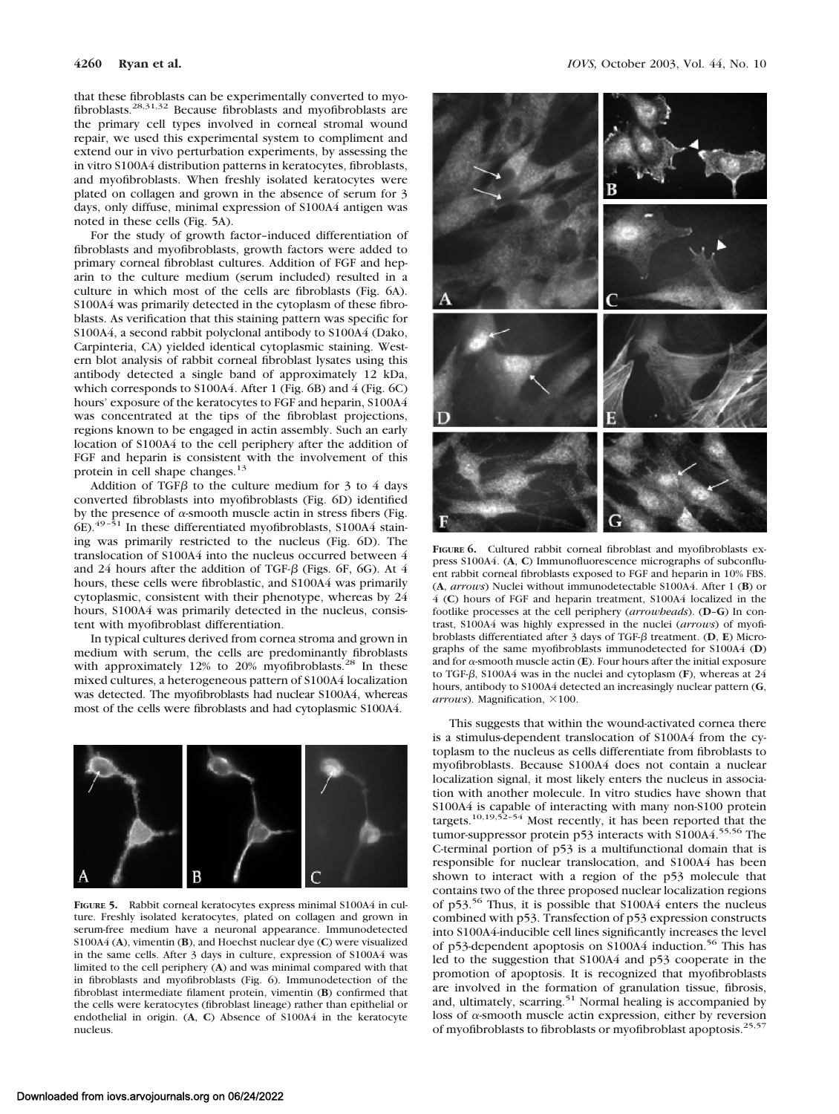that these fibroblasts can be experimentally converted to myofibroblasts.28,31,32 Because fibroblasts and myofibroblasts are the primary cell types involved in corneal stromal wound repair, we used this experimental system to compliment and extend our in vivo perturbation experiments, by assessing the in vitro S100A4 distribution patterns in keratocytes, fibroblasts, and myofibroblasts. When freshly isolated keratocytes were plated on collagen and grown in the absence of serum for 3 days, only diffuse, minimal expression of S100A4 antigen was noted in these cells (Fig. 5A).

For the study of growth factor–induced differentiation of fibroblasts and myofibroblasts, growth factors were added to primary corneal fibroblast cultures. Addition of FGF and heparin to the culture medium (serum included) resulted in a culture in which most of the cells are fibroblasts (Fig. 6A). S100A4 was primarily detected in the cytoplasm of these fibroblasts. As verification that this staining pattern was specific for S100A4, a second rabbit polyclonal antibody to S100A4 (Dako, Carpinteria, CA) yielded identical cytoplasmic staining. Western blot analysis of rabbit corneal fibroblast lysates using this antibody detected a single band of approximately 12 kDa, which corresponds to S100A4. After 1 (Fig. 6B) and 4 (Fig. 6C) hours' exposure of the keratocytes to FGF and heparin, S100A4 was concentrated at the tips of the fibroblast projections, regions known to be engaged in actin assembly. Such an early location of S100A4 to the cell periphery after the addition of FGF and heparin is consistent with the involvement of this protein in cell shape changes.<sup>13</sup>

Addition of TGF $\beta$  to the culture medium for 3 to 4 days converted fibroblasts into myofibroblasts (Fig. 6D) identified by the presence of  $\alpha$ -smooth muscle actin in stress fibers (Fig. 6E).<sup>49–51</sup> In these differentiated myofibroblasts, S100A4 staining was primarily restricted to the nucleus (Fig. 6D). The translocation of S100A4 into the nucleus occurred between 4 and 24 hours after the addition of TGF- $\beta$  (Figs. 6F, 6G). At 4 hours, these cells were fibroblastic, and S100A4 was primarily cytoplasmic, consistent with their phenotype, whereas by 24 hours, S100A4 was primarily detected in the nucleus, consistent with myofibroblast differentiation.

In typical cultures derived from cornea stroma and grown in medium with serum, the cells are predominantly fibroblasts with approximately 12% to 20% myofibroblasts.<sup>28</sup> In these mixed cultures, a heterogeneous pattern of S100A4 localization was detected. The myofibroblasts had nuclear S100A4, whereas most of the cells were fibroblasts and had cytoplasmic S100A4.



**FIGURE 5.** Rabbit corneal keratocytes express minimal S100A4 in culture. Freshly isolated keratocytes, plated on collagen and grown in serum-free medium have a neuronal appearance. Immunodetected S100A4 (**A**), vimentin (**B**), and Hoechst nuclear dye (**C**) were visualized in the same cells. After 3 days in culture, expression of S100A4 was limited to the cell periphery (**A**) and was minimal compared with that in fibroblasts and myofibroblasts (Fig. 6). Immunodetection of the fibroblast intermediate filament protein, vimentin (**B**) confirmed that the cells were keratocytes (fibroblast lineage) rather than epithelial or endothelial in origin. (**A**, **C**) Absence of S100A4 in the keratocyte nucleus.



**FIGURE 6.** Cultured rabbit corneal fibroblast and myofibroblasts express S100A4. (**A**, **C**) Immunofluorescence micrographs of subconfluent rabbit corneal fibroblasts exposed to FGF and heparin in 10% FBS. (**A**, *arrows*) Nuclei without immunodetectable S100A4. After 1 (**B**) or 4 (**C**) hours of FGF and heparin treatment, S100A4 localized in the footlike processes at the cell periphery (*arrowheads*). (**D**–**G**) In contrast, S100A4 was highly expressed in the nuclei (*arrows*) of myofibroblasts differentiated after  $3$  days of TGF- $\beta$  treatment. ( $D$ ,  $E$ ) Micrographs of the same myofibroblasts immunodetected for S100A4 (**D**) and for  $\alpha$ -smooth muscle actin ( $E$ ). Four hours after the initial exposure to TGF- $\beta$ , S100A4 was in the nuclei and cytoplasm (**F**), whereas at 24 hours, antibody to S100A4 detected an increasingly nuclear pattern (**G**, *arrows*). Magnification,  $\times$ 100.

This suggests that within the wound-activated cornea there is a stimulus-dependent translocation of S100A4 from the cytoplasm to the nucleus as cells differentiate from fibroblasts to myofibroblasts. Because S100A4 does not contain a nuclear localization signal, it most likely enters the nucleus in association with another molecule. In vitro studies have shown that S100A4 is capable of interacting with many non-S100 protein targets.<sup>10,19,52-54</sup> Most recently, it has been reported that the tumor-suppressor protein p53 interacts with S100A4.55,56 The C-terminal portion of p53 is a multifunctional domain that is responsible for nuclear translocation, and S100A4 has been shown to interact with a region of the p53 molecule that contains two of the three proposed nuclear localization regions of p53.56 Thus, it is possible that S100A4 enters the nucleus combined with p53. Transfection of p53 expression constructs into S100A4-inducible cell lines significantly increases the level of p53-dependent apoptosis on S100A4 induction.<sup>56</sup> This has led to the suggestion that S100A4 and p53 cooperate in the promotion of apoptosis. It is recognized that myofibroblasts are involved in the formation of granulation tissue, fibrosis, and, ultimately, scarring.<sup>51</sup> Normal healing is accompanied by loss of  $\alpha$ -smooth muscle actin expression, either by reversion of myofibroblasts to fibroblasts or myofibroblast apoptosis.25,57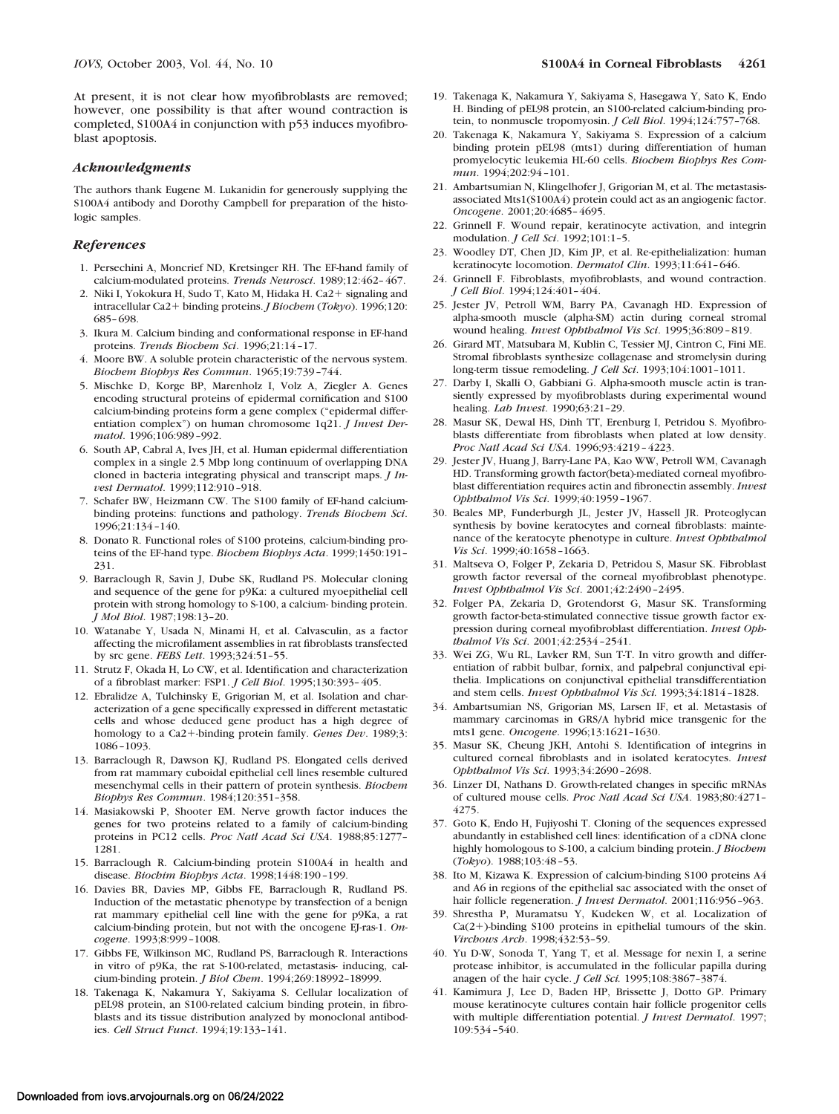At present, it is not clear how myofibroblasts are removed; however, one possibility is that after wound contraction is completed, S100A4 in conjunction with p53 induces myofibroblast apoptosis.

#### *Acknowledgments*

The authors thank Eugene M. Lukanidin for generously supplying the S100A4 antibody and Dorothy Campbell for preparation of the histologic samples.

#### *References*

- 1. Persechini A, Moncrief ND, Kretsinger RH. The EF-hand family of calcium-modulated proteins. *Trends Neurosci*. 1989;12:462–467.
- 2. Niki I, Yokokura H, Sudo T, Kato M, Hidaka H. Ca $2+$  signaling and intracellular Ca2 binding proteins. *J Biochem* (*Tokyo*). 1996;120: 685–698.
- 3. Ikura M. Calcium binding and conformational response in EF-hand proteins. *Trends Biochem Sci*. 1996;21:14–17.
- 4. Moore BW. A soluble protein characteristic of the nervous system. *Biochem Biophys Res Commun*. 1965;19:739–744.
- 5. Mischke D, Korge BP, Marenholz I, Volz A, Ziegler A. Genes encoding structural proteins of epidermal cornification and S100 calcium-binding proteins form a gene complex ("epidermal differentiation complex") on human chromosome 1q21. *J Invest Dermatol*. 1996;106:989–992.
- 6. South AP, Cabral A, Ives JH, et al. Human epidermal differentiation complex in a single 2.5 Mbp long continuum of overlapping DNA cloned in bacteria integrating physical and transcript maps. *J Invest Dermatol*. 1999;112:910–918.
- 7. Schafer BW, Heizmann CW. The S100 family of EF-hand calciumbinding proteins: functions and pathology. *Trends Biochem Sci*. 1996;21:134–140.
- 8. Donato R. Functional roles of S100 proteins, calcium-binding proteins of the EF-hand type. *Biochem Biophys Acta*. 1999;1450:191– 231.
- 9. Barraclough R, Savin J, Dube SK, Rudland PS. Molecular cloning and sequence of the gene for p9Ka: a cultured myoepithelial cell protein with strong homology to S-100, a calcium- binding protein. *J Mol Biol*. 1987;198:13–20.
- 10. Watanabe Y, Usada N, Minami H, et al. Calvasculin, as a factor affecting the microfilament assemblies in rat fibroblasts transfected by src gene. *FEBS Lett*. 1993;324:51–55.
- 11. Strutz F, Okada H, Lo CW, et al. Identification and characterization of a fibroblast marker: FSP1. *J Cell Biol*. 1995;130:393–405.
- 12. Ebralidze A, Tulchinsky E, Grigorian M, et al. Isolation and characterization of a gene specifically expressed in different metastatic cells and whose deduced gene product has a high degree of homology to a Ca2-binding protein family. *Genes Dev*. 1989;3: 1086–1093.
- 13. Barraclough R, Dawson KJ, Rudland PS. Elongated cells derived from rat mammary cuboidal epithelial cell lines resemble cultured mesenchymal cells in their pattern of protein synthesis. *Biochem Biophys Res Commun*. 1984;120:351–358.
- 14. Masiakowski P, Shooter EM. Nerve growth factor induces the genes for two proteins related to a family of calcium-binding proteins in PC12 cells. *Proc Natl Acad Sci USA*. 1988;85:1277– 1281.
- 15. Barraclough R. Calcium-binding protein S100A4 in health and disease. *Biochim Biophys Acta*. 1998;1448:190–199.
- 16. Davies BR, Davies MP, Gibbs FE, Barraclough R, Rudland PS. Induction of the metastatic phenotype by transfection of a benign rat mammary epithelial cell line with the gene for p9Ka, a rat calcium-binding protein, but not with the oncogene EJ-ras-1. *Oncogene*. 1993;8:999–1008.
- 17. Gibbs FE, Wilkinson MC, Rudland PS, Barraclough R. Interactions in vitro of p9Ka, the rat S-100-related, metastasis- inducing, calcium-binding protein. *J Biol Chem*. 1994;269:18992–18999.
- 18. Takenaga K, Nakamura Y, Sakiyama S. Cellular localization of pEL98 protein, an S100-related calcium binding protein, in fibroblasts and its tissue distribution analyzed by monoclonal antibodies. *Cell Struct Funct*. 1994;19:133–141.
- 19. Takenaga K, Nakamura Y, Sakiyama S, Hasegawa Y, Sato K, Endo H. Binding of pEL98 protein, an S100-related calcium-binding protein, to nonmuscle tropomyosin. *J Cell Biol*. 1994;124:757–768.
- 20. Takenaga K, Nakamura Y, Sakiyama S. Expression of a calcium binding protein pEL98 (mts1) during differentiation of human promyelocytic leukemia HL-60 cells. *Biochem Biophys Res Commun*. 1994;202:94–101.
- 21. Ambartsumian N, Klingelhofer J, Grigorian M, et al. The metastasisassociated Mts1(S100A4) protein could act as an angiogenic factor. *Oncogene*. 2001;20:4685–4695.
- 22. Grinnell F. Wound repair, keratinocyte activation, and integrin modulation. *J Cell Sci*. 1992;101:1–5.
- 23. Woodley DT, Chen JD, Kim JP, et al. Re-epithelialization: human keratinocyte locomotion. *Dermatol Clin*. 1993;11:641–646.
- 24. Grinnell F. Fibroblasts, myofibroblasts, and wound contraction. *J Cell Biol*. 1994;124:401–404.
- 25. Jester JV, Petroll WM, Barry PA, Cavanagh HD. Expression of alpha-smooth muscle (alpha-SM) actin during corneal stromal wound healing. *Invest Ophthalmol Vis Sci*. 1995;36:809–819.
- 26. Girard MT, Matsubara M, Kublin C, Tessier MJ, Cintron C, Fini ME. Stromal fibroblasts synthesize collagenase and stromelysin during long-term tissue remodeling. *J Cell Sci*. 1993;104:1001–1011.
- 27. Darby I, Skalli O, Gabbiani G. Alpha-smooth muscle actin is transiently expressed by myofibroblasts during experimental wound healing. *Lab Invest*. 1990;63:21–29.
- 28. Masur SK, Dewal HS, Dinh TT, Erenburg I, Petridou S. Myofibroblasts differentiate from fibroblasts when plated at low density. *Proc Natl Acad Sci USA*. 1996;93:4219–4223.
- 29. Jester JV, Huang J, Barry-Lane PA, Kao WW, Petroll WM, Cavanagh HD. Transforming growth factor(beta)-mediated corneal myofibroblast differentiation requires actin and fibronectin assembly. *Invest Ophthalmol Vis Sci*. 1999;40:1959–1967.
- 30. Beales MP, Funderburgh JL, Jester JV, Hassell JR. Proteoglycan synthesis by bovine keratocytes and corneal fibroblasts: maintenance of the keratocyte phenotype in culture. *Invest Ophthalmol Vis Sci*. 1999;40:1658–1663.
- 31. Maltseva O, Folger P, Zekaria D, Petridou S, Masur SK. Fibroblast growth factor reversal of the corneal myofibroblast phenotype. *Invest Ophthalmol Vis Sci*. 2001;42:2490–2495.
- 32. Folger PA, Zekaria D, Grotendorst G, Masur SK. Transforming growth factor-beta-stimulated connective tissue growth factor expression during corneal myofibroblast differentiation. *Invest Ophthalmol Vis Sci*. 2001;42:2534–2541.
- 33. Wei ZG, Wu RL, Lavker RM, Sun T-T. In vitro growth and differentiation of rabbit bulbar, fornix, and palpebral conjunctival epithelia. Implications on conjunctival epithelial transdifferentiation and stem cells. *Invest Ophthalmol Vis Sci.* 1993;34:1814–1828.
- 34. Ambartsumian NS, Grigorian MS, Larsen IF, et al. Metastasis of mammary carcinomas in GRS/A hybrid mice transgenic for the mts1 gene. *Oncogene*. 1996;13:1621–1630.
- 35. Masur SK, Cheung JKH, Antohi S. Identification of integrins in cultured corneal fibroblasts and in isolated keratocytes. *Invest Ophthalmol Vis Sci*. 1993;34:2690–2698.
- 36. Linzer DI, Nathans D. Growth-related changes in specific mRNAs of cultured mouse cells. *Proc Natl Acad Sci USA*. 1983;80:4271– 4275.
- 37. Goto K, Endo H, Fujiyoshi T. Cloning of the sequences expressed abundantly in established cell lines: identification of a cDNA clone highly homologous to S-100, a calcium binding protein. *J Biochem* (*Tokyo*). 1988;103:48–53.
- 38. Ito M, Kizawa K. Expression of calcium-binding S100 proteins A4 and A6 in regions of the epithelial sac associated with the onset of hair follicle regeneration. *J Invest Dermatol*. 2001;116:956–963.
- 39. Shrestha P, Muramatsu Y, Kudeken W, et al. Localization of  $Ca(2+)$ -binding S100 proteins in epithelial tumours of the skin. *Virchows Arch*. 1998;432:53–59.
- 40. Yu D-W, Sonoda T, Yang T, et al. Message for nexin I, a serine protease inhibitor, is accumulated in the follicular papilla during anagen of the hair cycle. *J Cell Sci.* 1995;108:3867–3874.
- 41. Kamimura J, Lee D, Baden HP, Brissette J, Dotto GP. Primary mouse keratinocyte cultures contain hair follicle progenitor cells with multiple differentiation potential. *J Invest Dermatol*. 1997; 109:534–540.